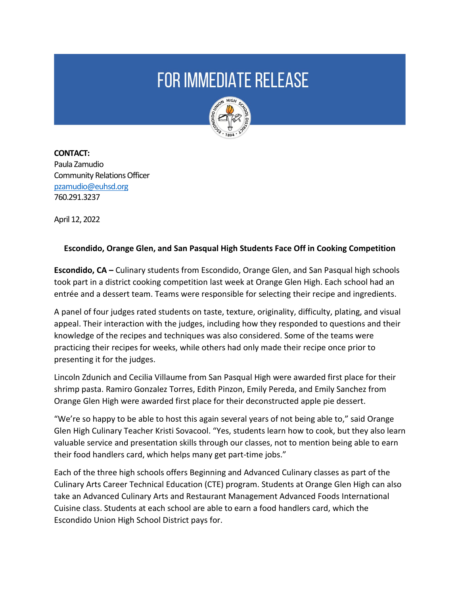## **FOR IMMEDIATE RELEASE**



**CONTACT:**  Paula Zamudio Community Relations Officer [pzamudio@euhsd.org](mailto:pzamudio@euhsd.org) 760.291.3237

April 12, 2022

## **Escondido, Orange Glen, and San Pasqual High Students Face Off in Cooking Competition**

**Escondido, CA –** Culinary students from Escondido, Orange Glen, and San Pasqual high schools took part in a district cooking competition last week at Orange Glen High. Each school had an entrée and a dessert team. Teams were responsible for selecting their recipe and ingredients.

A panel of four judges rated students on taste, texture, originality, difficulty, plating, and visual appeal. Their interaction with the judges, including how they responded to questions and their knowledge of the recipes and techniques was also considered. Some of the teams were practicing their recipes for weeks, while others had only made their recipe once prior to presenting it for the judges.

Lincoln Zdunich and Cecilia Villaume from San Pasqual High were awarded first place for their shrimp pasta. Ramiro Gonzalez Torres, Edith Pinzon, Emily Pereda, and Emily Sanchez from Orange Glen High were awarded first place for their deconstructed apple pie dessert.

"We're so happy to be able to host this again several years of not being able to," said Orange Glen High Culinary Teacher Kristi Sovacool. "Yes, students learn how to cook, but they also learn valuable service and presentation skills through our classes, not to mention being able to earn their food handlers card, which helps many get part-time jobs."

Each of the three high schools offers Beginning and Advanced Culinary classes as part of the Culinary Arts Career Technical Education (CTE) program. Students at Orange Glen High can also take an Advanced Culinary Arts and Restaurant Management Advanced Foods International Cuisine class. Students at each school are able to earn a food handlers card, which the Escondido Union High School District pays for.